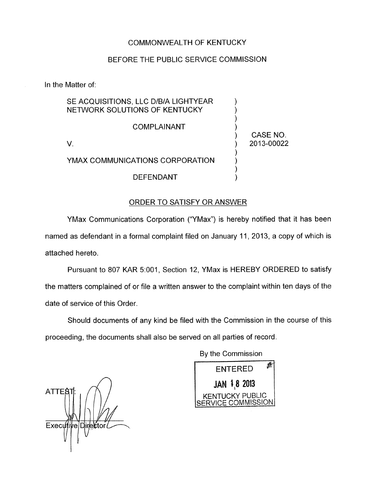# COMMONWEALTH OF KENTUCKY

## BEFORE THE PUBLIC SERVICE COMMISSION

In the Matter of:

| SE ACQUISITIONS, LLC D/B/A LIGHTYEAR<br>NETWORK SOLUTIONS OF KENTUCKY |            |
|-----------------------------------------------------------------------|------------|
| COMPLAINANT                                                           | CASE NO.   |
|                                                                       | 2013-00022 |
| YMAX COMMUNICATIONS CORPORATION                                       |            |
| DEFENDANT                                                             |            |

#### ORDER TO SATISFY OR ANSWER

YMax Communications Corporation ("YMax") is hereby notified that it has been named as defendant in a formal complaint filed on January 11, 2013, a copy of which is attached hereto.

Pursuant to 807 KAR 5:001, Section 12, YMax is HEREBY ORDERED to satisfy the matters complained of or file a written answer to the complaint within ten days of the date of service of this Order.

Should documents of any kind be filed with the Commission in the course of this proceeding, the documents shall also be served on all parties of record.

By the Commission

*n*  **ATTES**  $Executive|Dir{\&}$ tor

看 **ENTERED JAN 1.8 2013 KENTUCKY PUBLIC SERVICE COMMISSION**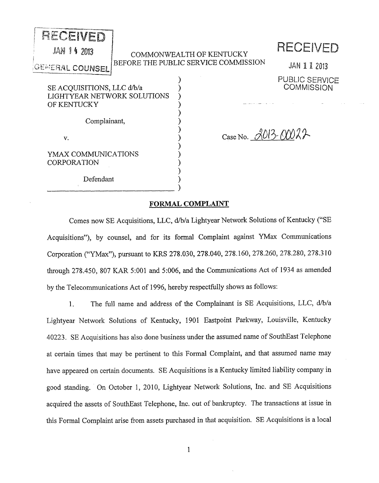| RECEIVED<br><b>JAN 14 2013</b>                                           | COMMONWEALTH OF KENTUCKY             | RECEIVED                            |
|--------------------------------------------------------------------------|--------------------------------------|-------------------------------------|
| <b>GEMERAL COUNSEL</b>                                                   | BEFORE THE PUBLIC SERVICE COMMISSION | JAN 1 1 2013                        |
| SE ACQUISITIONS, LLC d/b/a<br>LIGHTYEAR NETWORK SOLUTIONS<br>OF KENTUCKY |                                      | PUBLIC SERVICE<br><b>COMMISSION</b> |
| Complainant,<br>V.                                                       | Case No. 2013-00022                  |                                     |
| YMAX COMMUNICATIONS<br>CORPORATION                                       |                                      |                                     |
| Defendant                                                                |                                      |                                     |

### **FORMAL COMPLAINT**

Comes now SE Acquisitions, LLC, d/b/a Lightyear Network Solutions of Kentucky ("SE Acquisitions"), by counsel, and for its formal Complaint against YMax Communications Corporation ("YMax"), pursuant to KRS 278.030, 278.040, 278.160, 278.260, 278.280, 278.3 10 through 278.450, 807 KAR 5:001 and 5:006, and the Communications Act of 1934 as amended by the Telecommunications Act of 1996, hereby respectfully shows as follows:

1. The full name and address of the Complainant is SE Acquisitions, LLC, d/b/a Lightyear Network Solutions of Kentucky, 1901 Eastpoint Parkway, Louisville, Kentucky 40223. SE Acquisitions has also done business under the assumed name of SouthEast Telephone at certain times that may be pertinent to this Formal Complaint, and that assumed name may have appeared on certain documents. SE Acquisitions is a Kentucky limited liability company in good standing. On October 1, 2010, Lightyear Network Solutions, Inc. and SE Acquisitions acquired the assets of SouthEast Telephone, Inc. out of bankruptcy. The transactions at issue in this Formal Complaint arise from assets purchased in that acquisition. SE Acquisitions is a local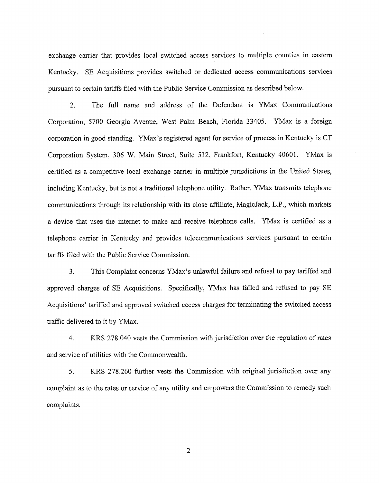exchange carrier that provides local switched access services to multiple counties in eastern Kentucky. SE Acquisitions provides switched or dedicated access communications services pursuant to certain tariffs filed with the Public Service Commission as described below.

2. The full name and address of the Defendant is Wax Communications Corporation, 5700 Georgia Avenue, West Palm Beach, Florida 33405. YMax is a foreign corporation in good standing. YMax's registered agent for service of process in Kentucky is CT Corporation System, 306 W. Main Street, Suite 512, Frankfort, Kentucky 40601. YMax is certified as a competitive local exchange carrier in multiple jurisdictions in the United States, including Kentucky, but is not a traditional telephone utility. Rather, YMax transmits telephone communications through its relationship with its close affiliate, MagicJack, L.P., which markets a device that uses the internet to make and receive telephone calls. Wax is certified as a telephone carrier in Kentucky and provides telecommunications services pursuant to certain tariffs filed with the Public Service Commission.

3. This Complaint concerns YMax's unlawful failure and refusal to pay tariffed and approved charges of SE Acquisitions. Specifically, YMax has failed and refused to pay SE Acquisitions' tariffed and approved switched access charges for terminating the switched access traffic delivered to it by Wax.

4. KRS 278.040 vests the Commission with jurisdiction over the regulation of rates and service of utilities with the Commonwealth.

5. KR.S 278.260 further vests the Commission with original jurisdiction over any complaint as to the rates or service of any utility and empowers the Commission to remedy such complaints.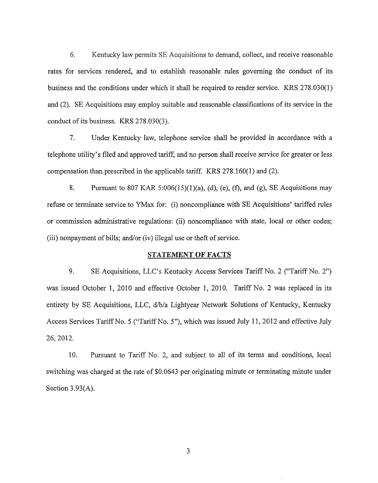*6.* Kentucky law pennits SE Acquisitions to demand, collect, and receive reasonable rates for services rendered, and to establish reasonable rules governing the conduct of its business and the conditions under which it shall be required to render service. KRS 278.030(1) and (2). SE Acquisitions may employ suitable and reasonable classifications of its service in the conduct of its business. KRS 278.030(3).

7. Under Kentucky law, telephone service shall be provided in accordance with a telephone utility's filed and approved tariff, and no person shall receive service for greater or less compensation than prescribed in the applicable tariff. KRS 278.160(1) and (2).

8. Pursuant to 807 KAR 5:006(15)(1)(a), (d), (e), *(0,* and (g), SE Acquisitions may refuse or terminate service to YMax for: (i) noncompliance with SE Acquisitions' tariffed rules or commission administrative regulations: (ii) noncompliance with state, local or other codes; (iii) nonpayment of bills; and/or (iv) illegal use or theft of service.

#### **STATEMENT OF FACTS**

9. SE Acquisitions, LLC's Kentucky Access Services Tariff No. 2 ("Tariff No. 2") was issued October 1, 2010 and effective October 1, 2010. Tariff No. 2 was replaced in its entirety by SE Acquisitions, LLC, d/b/a Lightyear Network Solutions of Kentucky, Kentucky Access Services Tariff No. *5* ("Tariff No. **S''),** which was issued July 11 , 2012 and effective July 26, 2012.

10. Pursuant to Tariff No. 2, and subject to all of its terms and conditions, local switching was charged at the rate of \$0.0643 per originating minute or terminating minute under Section 3.93(A).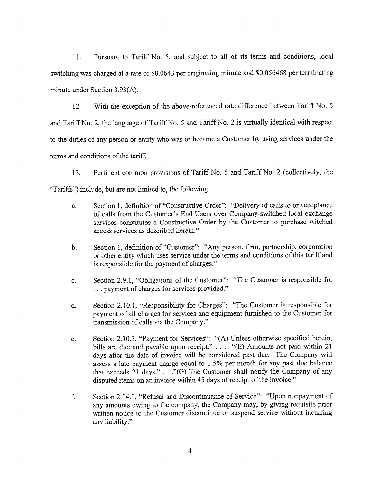11. Pursuant to Tariff No. 5, and subject to all of its terms and conditions, local switching was charged at a rate of \$0.0643 per originating minute and \$0.056468 per terminating minute under Section 3.93(A).

12. With the exception of the above-referenced rate difference between Tariff No. 5 and Tariff No. 2, the language of Tariff No. 5 and Tariff No. 2 is virtually identical with respect to the duties of any person or entity who was or became a Customer by using services under the terms and conditions of the tariff.

13. Pertinent common provisions of Tariff No. 5 and Tariff No. 2 (collectively, the "Tariffs") include, but are not limited to, the following:

- a. Section 1, definition of "Constructive Order": "Delivery of calls to or acceptance of calls from the Customer's End Users over Company-switched local exchange services constitutes a Constructive Order by the Customer to purchase witched access services as described herein."
- b. Section 1, definition of "Customer": "Any person, firm, partnership, corporation or other entity which uses service under the terms and conditions of this tariff and is responsible for the payment of charges."
- c. Section 2.9.1 , "Obligations of the Customer": "The Customer is responsible for . . . payment of charges for services provided."
- d. Section 2.10.1 , "Responsibility for Charges": "The Customer is responsible for payment of all charges for services and equipment furnished to the Customer for transmission of calls via the Company."
- e. Section 2.10.3, "Payment for Services": **"(A)** Unless otherwise specified herein, bills are due and payable upon receipt." . . . "(E) Amounts not paid within 21 days after the date of invoice will be considered past due. The Company will assess a late payment charge equal to 1.5% per month for any past due balance that exceeds 21 days."  $\ldots$  "(G) The Customer shall notify the Company of any disputed items on an invoice within 45 days of receipt of the invoice."
- f. Section 2.14.1 , "Refusal and Discontinuance of Service": "Upon nonpayment of any amounts owing to the company, the Company may, by giving requisite prior written notice to the Customer discontinue or suspend service without incurring any liability."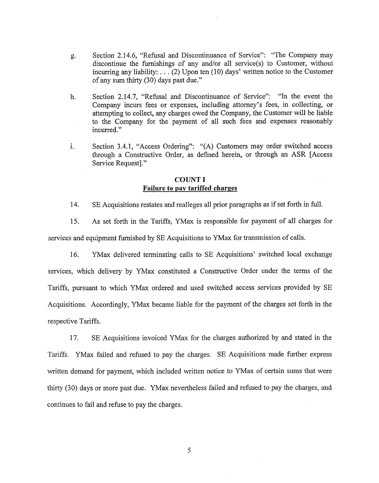- *g.*  Section 2.14.6, "Refusal and Discontinuance of Service": "The Company may discontinue the furnishings of any and/or all service(s) to Customer, without incurring any liability:  $\ldots$  (2) Upon ten (10) days' written notice to the Customer of any sum thirty (30) days past due."
- h. Section 2.14.7, "Refusal and Discontinuance of Service": "In the event the Company incurs fees or expenses, including attorney's fees, in collecting, or attempting to collect, any charges owed the Company, the Customer will be liable to the Company for the payment of all such fees and expenses reasanably incurred."
- *1.*  Section 3.4.1, "Access Ordering": "(A) Customers may order switched access through a Constructive Order, as defined herein, or through an **ASR** [Access Service Request]."

# **COUNT I Failure to pay tariffed charges**

14. SE Acquisitions restates and realleges all prior paragraphs as if set forth in full.

15. As set forth in the Tariffs, YMax is responsible for payment of all charges for services and equipment furnished by SE Acquisitions to YMax for transmission of calls.

16. YMax delivered terminating calls to SE Acquisitions' switched local exchange services, which delivery by YMax constituted a Constructive Order under the terms of the Tariffs, pursuant to which YMax ordered and used switched access services provided by SE Acquisitions. Accordingly, YMax became liable for the payment of the charges set forth in the respective Tariffs.

17. SE Acquisitions invoiced YMax for the charges authorized by and stated in the Tariffs. YMax failed and refused to pay the charges. SE Acquisitions made further express written demand for payment, which included written notice to YMax of certain sums that were thirty (30) days or more past due. YMax nevertheless failed and refused to pay the charges, and continues to fail and refuse to pay the charges.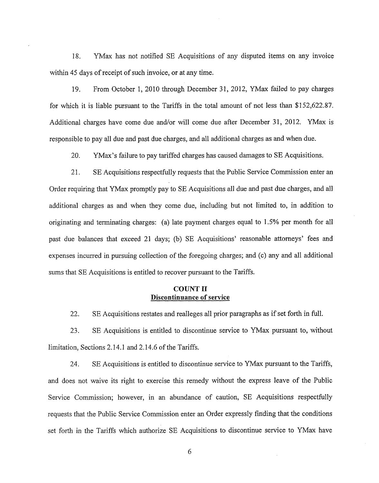18. YMax has not notified SE Acquisitions of any disputed items on any invoice within 45 days of receipt of such invoice, or at any time.

19. From October 1,2010 through December 31, 2012, Wax failed to pay charges for which it is liable pursuant to the Tariffs in the total amount of not less than \$152,622.87. Additional charges have come due and/or will come due after December 31, 2012. YMax is responsible to pay all due and past due charges, and all additional charges as and when due.

20. YMax's failure to pay tariffed charges has caused damages to SE Acquisitions.

21. SE Acquisitions respectfully requests that the Public Service Commission enter an Order requiring that YMax promptly pay to SE Acquisitions all due and past due charges, and all additional charges as and when they come due, including but not limited to, in addition to originating and terminating charges: (a) late payment charges equal to 1.5% per month for all past due balances that exceed 21 days; (b) SE Acquisitions' reasonable attorneys' fees and expenses incurred in pursuing collection of the foregoing charges; and (c) any and all additional sums that SE Acquisitions is entitled to recover pursuant to the Tariffs.

# **COUNT 11 Discontinuance of service**

22. SE Acquisitions restates and realleges all prior paragraphs as if set forth in full.

23. SE Acquisitions is entitled to discontinue service to Wax pursuant to, without limitation, Sections 2.14.1 and 2.14.6 of the Tariffs.

24. SE Acquisitions is entitled to discontinue service to Wax pursuant to the Tariffs, and does not waive its right to exercise this remedy without the express leave of the Public Service Commission; however, in an abundance of caution, SE Acquisitions respectfully requests that the Public Service Commission enter an Order expressly finding that the conditions set forth in the Tariffs which authorize SE Acquisitions to discontinue service to Wax have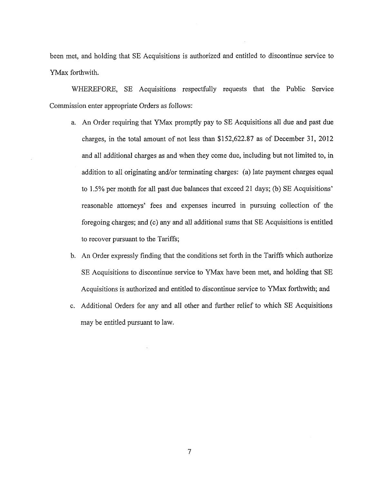been met, and holding that SE Acquisitions is authorized and entitled to discontinue service to YMax forthwith.

WHEREFORE, SE Acquisitions respectfully requests that the Public Service Commission enter appropriate Orders as follows:

- a. *An* Order requiring that YMax promptly pay to SE Acquisitions all due and past due charges, in the total amount of not less than \$152,622.87 as of December 31, 2012 and all additional charges as and when they come due, including but not limited to, in addition to all originating and/or terminating charges: (a) late payment charges equal to 1.5% per month for all past due balances that exceed 21 days; (b) SE Acquisitions' reasonable attorneys' fees and expenses incurred in pursuing coIlection of the foregoing charges; and (c) any and all additional sums that SE Acquisitions is entitled to recover pursuant to the Tariffs;
- b. An Order expressly finding that the conditions set forth in the Tariffs which authorize SE Acquisitions to discontinue service to YMax have been met, and holding that SE Acquisitions is authorized and entitled to discontinue service to YMax forthwith; and
- c. Additional Orders for any and all other and further relief to which SE Acquisitions may be entitled pursuant to law.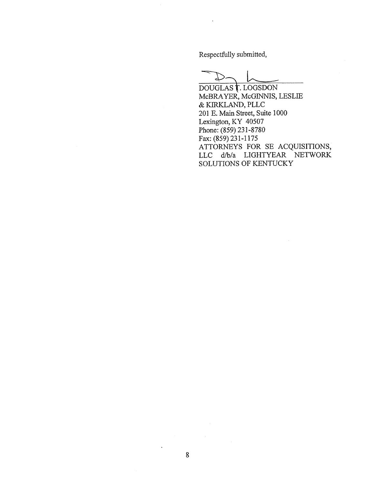Respectfully submitted,

Respectfully submitted, McBRAYER, McGINNIS, LESLIE & KIRKLAND, PLLC 201 E. Main Street, Suite 1000 Lexington, KY 40507 Phone: (859) 231-8780 ATTORNEYS FOR SE ACQUISITIONS, LLC d/b/a LIGHTYEAR NETWORK SOLUTIONS OF KENTUCKY Fax: **(859)** 231-1 175